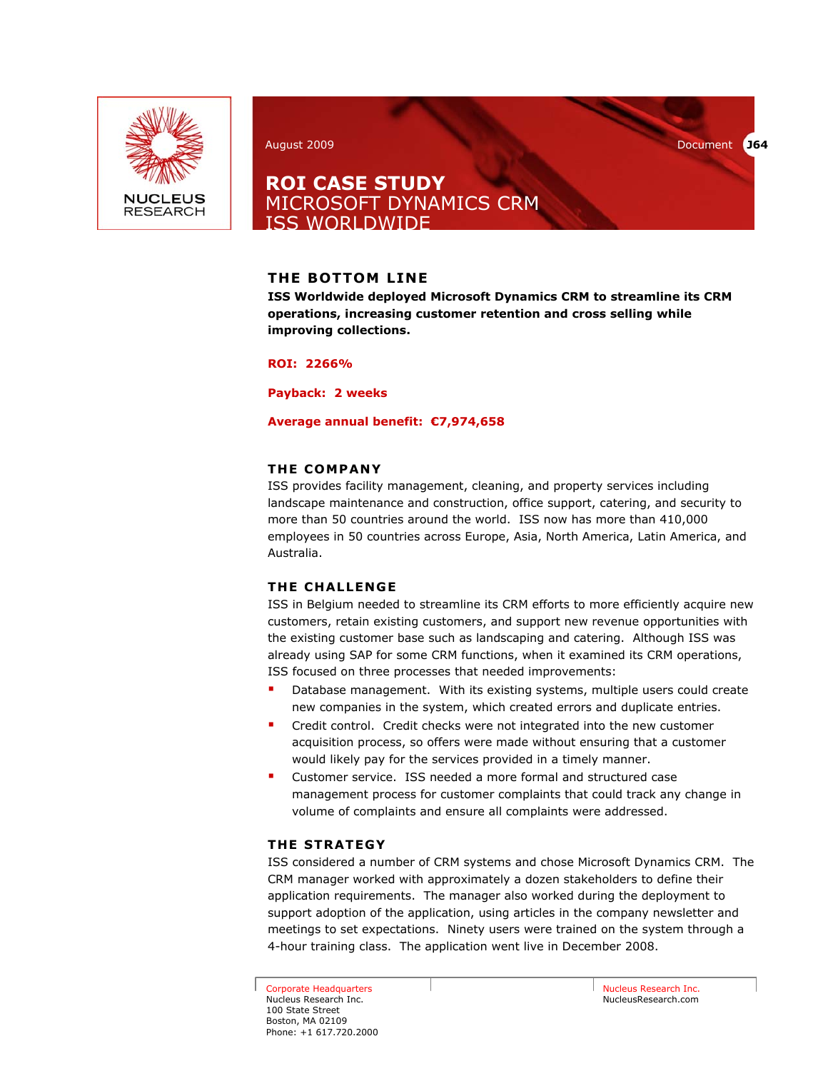

August 2009 Document **J64** 

## **ROI CASE STUDY**  MICROSOFT DYNAMICS CRM ISS WORLDWIDE

## **THE BOTTOM LINE**

**ISS Worldwide deployed Microsoft Dynamics CRM to streamline its CRM operations, increasing customer retention and cross selling while improving collections.** 

**ROI: 2266%** 

**Payback: 2 weeks** 

#### **Average annual benefit: €7,974,658**

### **THE COMPANY**

ISS provides facility management, cleaning, and property services including landscape maintenance and construction, office support, catering, and security to more than 50 countries around the world. ISS now has more than 410,000 employees in 50 countries across Europe, Asia, North America, Latin America, and Australia.

#### **THE CHALLENGE**

ISS in Belgium needed to streamline its CRM efforts to more efficiently acquire new customers, retain existing customers, and support new revenue opportunities with the existing customer base such as landscaping and catering. Although ISS was already using SAP for some CRM functions, when it examined its CRM operations, ISS focused on three processes that needed improvements:

- Database management. With its existing systems, multiple users could create new companies in the system, which created errors and duplicate entries.
- Credit control. Credit checks were not integrated into the new customer acquisition process, so offers were made without ensuring that a customer would likely pay for the services provided in a timely manner.
- Customer service. ISS needed a more formal and structured case management process for customer complaints that could track any change in volume of complaints and ensure all complaints were addressed.

#### **THE STRATEGY**

ISS considered a number of CRM systems and chose Microsoft Dynamics CRM. The CRM manager worked with approximately a dozen stakeholders to define their application requirements. The manager also worked during the deployment to support adoption of the application, using articles in the company newsletter and meetings to set expectations. Ninety users were trained on the system through a 4-hour training class. The application went live in December 2008.

Corporate Headquarters Nucleus Research Inc. 100 State Street Boston, MA 02109 Phone: +1 617.720.2000 Nucleus Research Inc. NucleusResearch.com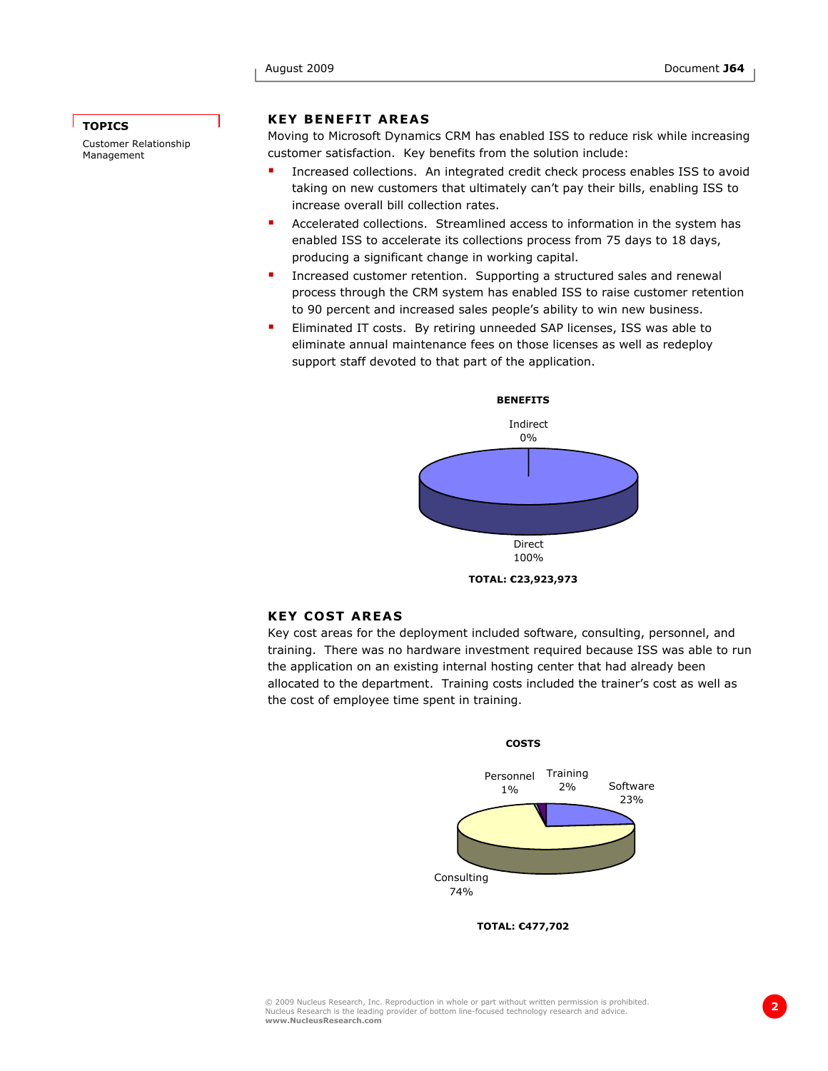#### **TOPICS**

Customer Relationship Management

#### **KEY BENEFIT AREAS**

Moving to Microsoft Dynamics CRM has enabled ISS to reduce risk while increasing customer satisfaction. Key benefits from the solution include:

- Increased collections. An integrated credit check process enables ISS to avoid taking on new customers that ultimately can't pay their bills, enabling ISS to increase overall bill collection rates.
- Accelerated collections. Streamlined access to information in the system has enabled ISS to accelerate its collections process from 75 days to 18 days, producing a significant change in working capital.
- Increased customer retention. Supporting a structured sales and renewal process through the CRM system has enabled ISS to raise customer retention to 90 percent and increased sales people's ability to win new business.
- Eliminated IT costs. By retiring unneeded SAP licenses, ISS was able to eliminate annual maintenance fees on those licenses as well as redeploy support staff devoted to that part of the application.



#### **KEY COST AREAS**

Key cost areas for the deployment included software, consulting, personnel, and training. There was no hardware investment required because ISS was able to run the application on an existing internal hosting center that had already been allocated to the department. Training costs included the trainer's cost as well as the cost of employee time spent in training.



**TOTAL: €477,702**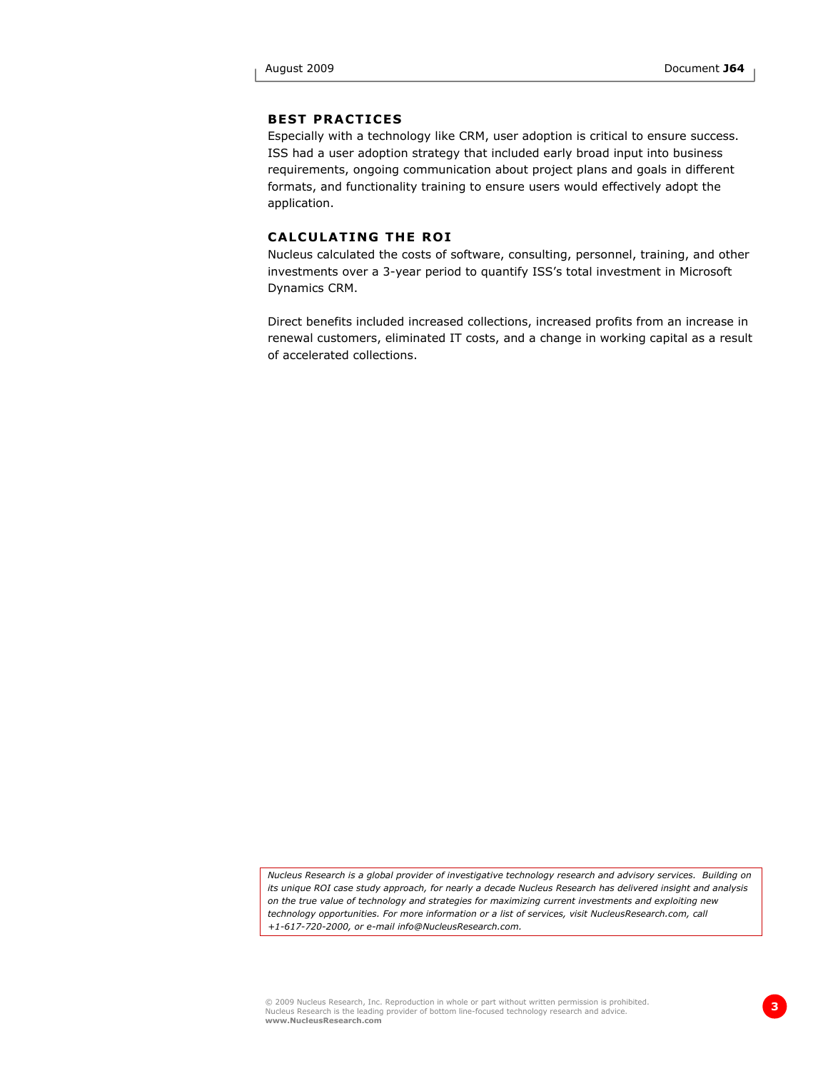#### **BEST PRACTICES**

Especially with a technology like CRM, user adoption is critical to ensure success. ISS had a user adoption strategy that included early broad input into business requirements, ongoing communication about project plans and goals in different formats, and functionality training to ensure users would effectively adopt the application.

#### **CALCULATING THE ROI**

Nucleus calculated the costs of software, consulting, personnel, training, and other investments over a 3-year period to quantify ISS's total investment in Microsoft Dynamics CRM.

Direct benefits included increased collections, increased profits from an increase in renewal customers, eliminated IT costs, and a change in working capital as a result of accelerated collections.

*Nucleus Research is a global provider of investigative technology research and advisory services. Building on its unique ROI case study approach, for nearly a decade Nucleus Research has delivered insight and analysis on the true value of technology and strategies for maximizing current investments and exploiting new technology opportunities. For more information or a list of services, visit NucleusResearch.com, call +1-617-720-2000, or e-mail info@NucleusResearch.com.* 

© 2009 Nucleus Research, Inc. Reproduction in whole or part without written permission is prohibited.<br>Nucleus Research is the leading provider of bottom line-focused technology research and advice. **www.NucleusResearch.com**